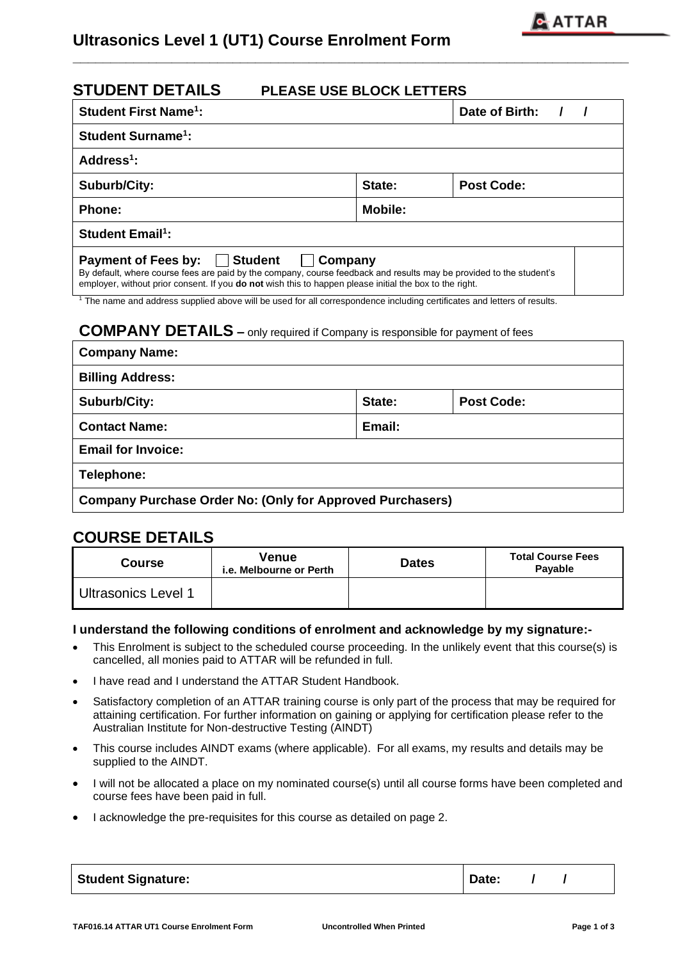

# **Ultrasonics Level 1 (UT1) Course Enrolment Form**

| <b>STUDENT DETAILS</b><br><b>PLEASE USE BLOCK LETTERS</b>                                                                        |                                                                                                                                                                                                                                               |  |  |
|----------------------------------------------------------------------------------------------------------------------------------|-----------------------------------------------------------------------------------------------------------------------------------------------------------------------------------------------------------------------------------------------|--|--|
|                                                                                                                                  | Date of Birth:                                                                                                                                                                                                                                |  |  |
|                                                                                                                                  |                                                                                                                                                                                                                                               |  |  |
|                                                                                                                                  |                                                                                                                                                                                                                                               |  |  |
| State:                                                                                                                           | <b>Post Code:</b>                                                                                                                                                                                                                             |  |  |
| <b>Mobile:</b>                                                                                                                   |                                                                                                                                                                                                                                               |  |  |
|                                                                                                                                  |                                                                                                                                                                                                                                               |  |  |
| <b>Company</b><br>employer, without prior consent. If you <b>do not</b> wish this to happen please initial the box to the right. | By default, where course fees are paid by the company, course feedback and results may be provided to the student's<br>The name and address supplied above will be used for all correspondence including certificates and letters of results. |  |  |
|                                                                                                                                  |                                                                                                                                                                                                                                               |  |  |

**\_\_\_\_\_\_\_\_\_\_\_\_\_\_\_\_\_\_\_\_\_\_\_\_\_\_\_\_\_\_\_\_\_\_\_\_\_\_\_\_\_\_\_\_\_\_\_\_\_\_\_\_\_\_\_\_\_\_\_\_\_\_\_\_\_\_\_\_\_\_\_\_\_** 

## **COMPANY DETAILS –** only required if Company is responsible for payment of fees

| <b>Company Name:</b>                                             |        |                   |  |  |
|------------------------------------------------------------------|--------|-------------------|--|--|
| <b>Billing Address:</b>                                          |        |                   |  |  |
| <b>Suburb/City:</b>                                              | State: | <b>Post Code:</b> |  |  |
| <b>Contact Name:</b>                                             | Email: |                   |  |  |
| <b>Email for Invoice:</b>                                        |        |                   |  |  |
| Telephone:                                                       |        |                   |  |  |
| <b>Company Purchase Order No: (Only for Approved Purchasers)</b> |        |                   |  |  |

## **COURSE DETAILS**

| Course                     | Venue<br>i.e. Melbourne or Perth | <b>Dates</b> | <b>Total Course Fees</b><br>Payable |
|----------------------------|----------------------------------|--------------|-------------------------------------|
| <b>Ultrasonics Level 1</b> |                                  |              |                                     |

### **I understand the following conditions of enrolment and acknowledge by my signature:-**

- This Enrolment is subject to the scheduled course proceeding. In the unlikely event that this course(s) is cancelled, all monies paid to ATTAR will be refunded in full.
- I have read and I understand the ATTAR Student Handbook.
- Satisfactory completion of an ATTAR training course is only part of the process that may be required for attaining certification. For further information on gaining or applying for certification please refer to the Australian Institute for Non-destructive Testing (AINDT)
- This course includes AINDT exams (where applicable). For all exams, my results and details may be supplied to the AINDT.
- I will not be allocated a place on my nominated course(s) until all course forms have been completed and course fees have been paid in full.
- I acknowledge the pre-requisites for this course as detailed on page 2.

| <b>Student Signature:</b> | Date: |
|---------------------------|-------|
|                           |       |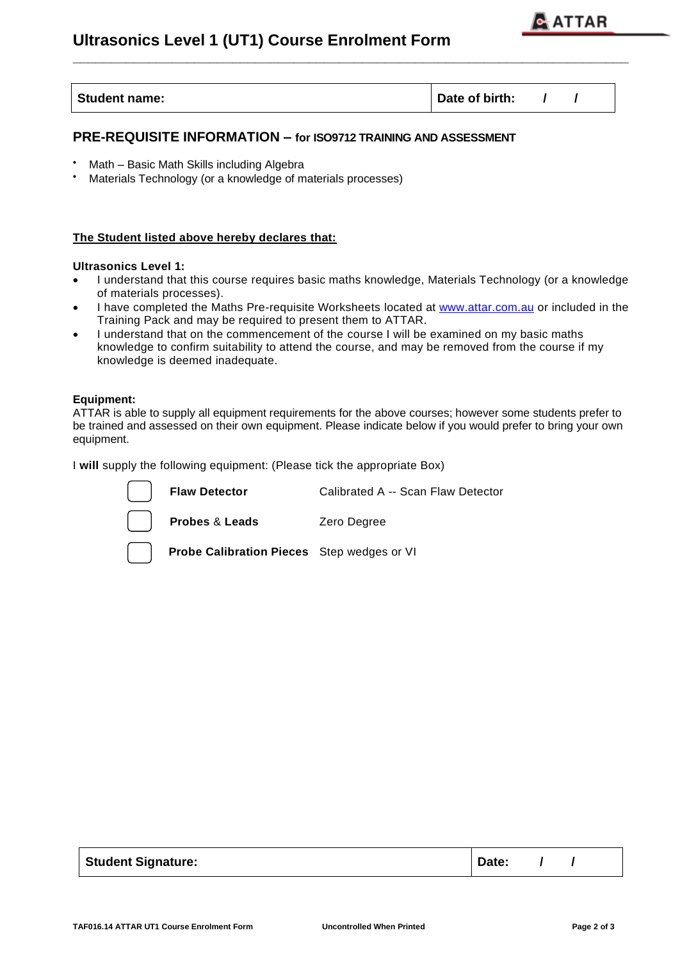

| <b>Student name:</b><br>Date of birth: |
|----------------------------------------|
|----------------------------------------|

**\_\_\_\_\_\_\_\_\_\_\_\_\_\_\_\_\_\_\_\_\_\_\_\_\_\_\_\_\_\_\_\_\_\_\_\_\_\_\_\_\_\_\_\_\_\_\_\_\_\_\_\_\_\_\_\_\_\_\_\_\_\_\_\_\_\_\_\_\_\_\_\_\_** 

### **PRE-REQUISITE INFORMATION – for ISO9712 TRAINING AND ASSESSMENT**

- Math Basic Math Skills including Algebra
- Materials Technology (or a knowledge of materials processes)

#### **The Student listed above hereby declares that:**

#### **Ultrasonics Level 1:**

- I understand that this course requires basic maths knowledge, Materials Technology (or a knowledge of materials processes).
- I have completed the Maths Pre-requisite Worksheets located at [www.attar.com.au](http://www.attar.com.au/) or included in the Training Pack and may be required to present them to ATTAR.
- I understand that on the commencement of the course I will be examined on my basic maths knowledge to confirm suitability to attend the course, and may be removed from the course if my knowledge is deemed inadequate.

#### **Equipment:**

ATTAR is able to supply all equipment requirements for the above courses; however some students prefer to be trained and assessed on their own equipment. Please indicate below if you would prefer to bring your own equipment.

I **will** supply the following equipment: (Please tick the appropriate Box)



| <b>Student Signature:</b> | Date: |
|---------------------------|-------|
|---------------------------|-------|